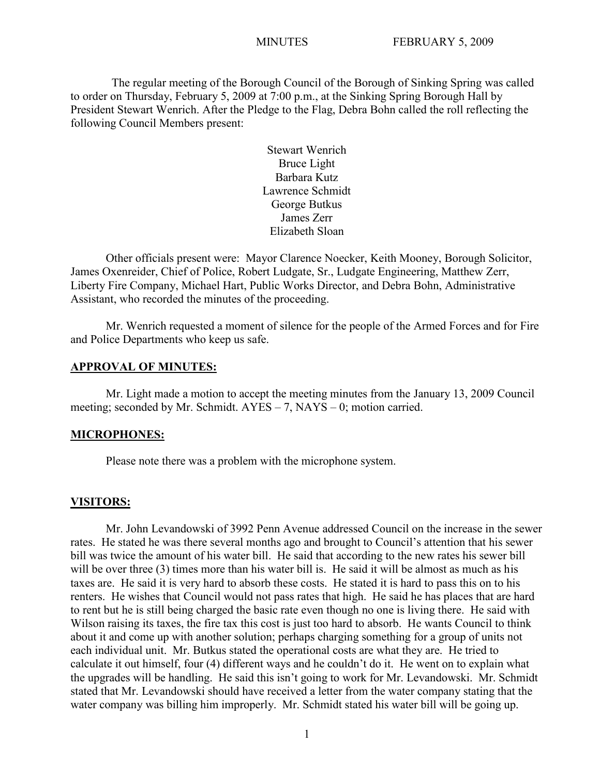The regular meeting of the Borough Council of the Borough of Sinking Spring was called to order on Thursday, February 5, 2009 at 7:00 p.m., at the Sinking Spring Borough Hall by President Stewart Wenrich. After the Pledge to the Flag, Debra Bohn called the roll reflecting the following Council Members present:

> Stewart Wenrich Bruce Light Barbara Kutz Lawrence Schmidt George Butkus James Zerr Elizabeth Sloan

Other officials present were: Mayor Clarence Noecker, Keith Mooney, Borough Solicitor, James Oxenreider, Chief of Police, Robert Ludgate, Sr., Ludgate Engineering, Matthew Zerr, Liberty Fire Company, Michael Hart, Public Works Director, and Debra Bohn, Administrative Assistant, who recorded the minutes of the proceeding.

Mr. Wenrich requested a moment of silence for the people of the Armed Forces and for Fire and Police Departments who keep us safe.

#### **APPROVAL OF MINUTES:**

Mr. Light made a motion to accept the meeting minutes from the January 13, 2009 Council meeting; seconded by Mr. Schmidt. AYES – 7, NAYS – 0; motion carried.

#### **MICROPHONES:**

Please note there was a problem with the microphone system.

#### **VISITORS:**

Mr. John Levandowski of 3992 Penn Avenue addressed Council on the increase in the sewer rates. He stated he was there several months ago and brought to Council's attention that his sewer bill was twice the amount of his water bill. He said that according to the new rates his sewer bill will be over three (3) times more than his water bill is. He said it will be almost as much as his taxes are. He said it is very hard to absorb these costs. He stated it is hard to pass this on to his renters. He wishes that Council would not pass rates that high. He said he has places that are hard to rent but he is still being charged the basic rate even though no one is living there. He said with Wilson raising its taxes, the fire tax this cost is just too hard to absorb. He wants Council to think about it and come up with another solution; perhaps charging something for a group of units not each individual unit. Mr. Butkus stated the operational costs are what they are. He tried to calculate it out himself, four (4) different ways and he couldn't do it. He went on to explain what the upgrades will be handling. He said this isn't going to work for Mr. Levandowski. Mr. Schmidt stated that Mr. Levandowski should have received a letter from the water company stating that the water company was billing him improperly. Mr. Schmidt stated his water bill will be going up.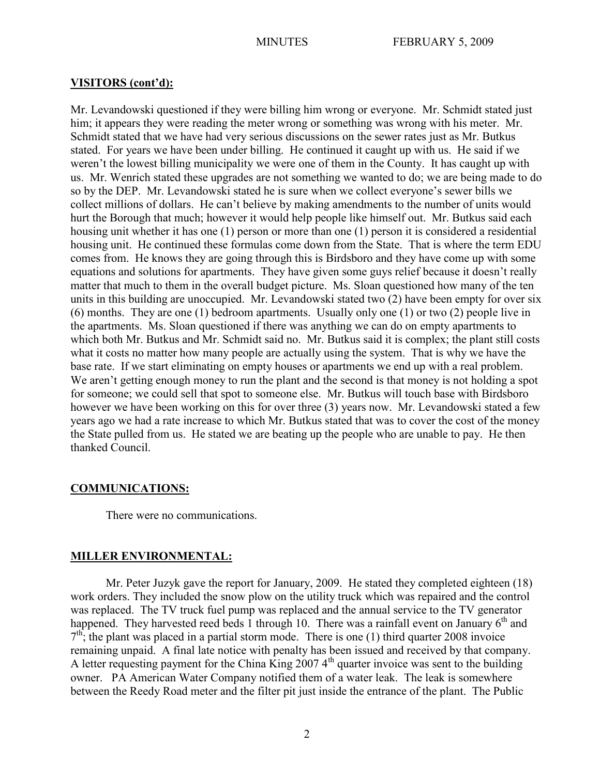## **VISITORS (cont'd):**

Mr. Levandowski questioned if they were billing him wrong or everyone. Mr. Schmidt stated just him; it appears they were reading the meter wrong or something was wrong with his meter. Mr. Schmidt stated that we have had very serious discussions on the sewer rates just as Mr. Butkus stated. For years we have been under billing. He continued it caught up with us. He said if we weren't the lowest billing municipality we were one of them in the County. It has caught up with us. Mr. Wenrich stated these upgrades are not something we wanted to do; we are being made to do so by the DEP. Mr. Levandowski stated he is sure when we collect everyone's sewer bills we collect millions of dollars. He can't believe by making amendments to the number of units would hurt the Borough that much; however it would help people like himself out. Mr. Butkus said each housing unit whether it has one (1) person or more than one (1) person it is considered a residential housing unit. He continued these formulas come down from the State. That is where the term EDU comes from. He knows they are going through this is Birdsboro and they have come up with some equations and solutions for apartments. They have given some guys relief because it doesn't really matter that much to them in the overall budget picture. Ms. Sloan questioned how many of the ten units in this building are unoccupied. Mr. Levandowski stated two (2) have been empty for over six (6) months. They are one (1) bedroom apartments. Usually only one (1) or two (2) people live in the apartments. Ms. Sloan questioned if there was anything we can do on empty apartments to which both Mr. Butkus and Mr. Schmidt said no. Mr. Butkus said it is complex; the plant still costs what it costs no matter how many people are actually using the system. That is why we have the base rate. If we start eliminating on empty houses or apartments we end up with a real problem. We aren't getting enough money to run the plant and the second is that money is not holding a spot for someone; we could sell that spot to someone else. Mr. Butkus will touch base with Birdsboro however we have been working on this for over three (3) years now. Mr. Levandowski stated a few years ago we had a rate increase to which Mr. Butkus stated that was to cover the cost of the money the State pulled from us. He stated we are beating up the people who are unable to pay. He then thanked Council.

# **COMMUNICATIONS:**

There were no communications.

# **MILLER ENVIRONMENTAL:**

Mr. Peter Juzyk gave the report for January, 2009. He stated they completed eighteen (18) work orders. They included the snow plow on the utility truck which was repaired and the control was replaced. The TV truck fuel pump was replaced and the annual service to the TV generator happened. They harvested reed beds 1 through 10. There was a rainfall event on January  $6<sup>th</sup>$  and  $7<sup>th</sup>$ ; the plant was placed in a partial storm mode. There is one (1) third quarter 2008 invoice remaining unpaid. A final late notice with penalty has been issued and received by that company. A letter requesting payment for the China King  $20074^{\text{th}}$  quarter invoice was sent to the building owner. PA American Water Company notified them of a water leak. The leak is somewhere between the Reedy Road meter and the filter pit just inside the entrance of the plant. The Public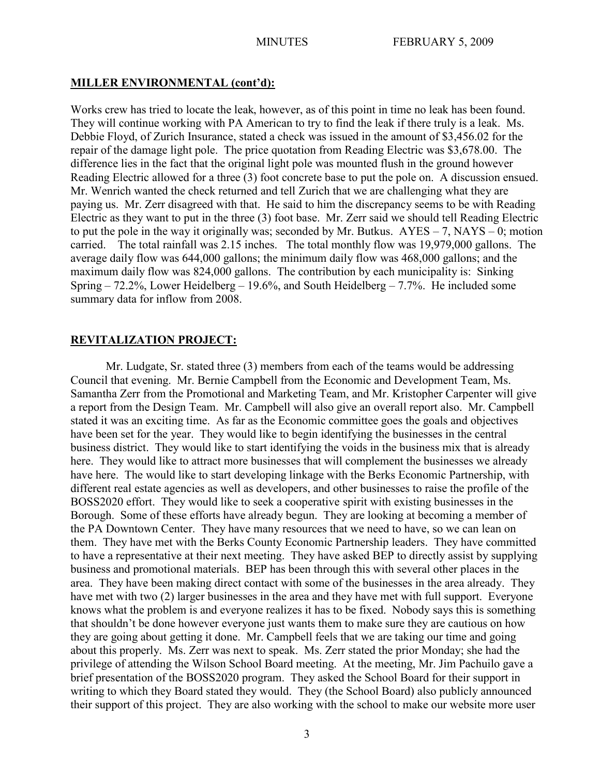## **MILLER ENVIRONMENTAL (cont'd):**

Works crew has tried to locate the leak, however, as of this point in time no leak has been found. They will continue working with PA American to try to find the leak if there truly is a leak. Ms. Debbie Floyd, of Zurich Insurance, stated a check was issued in the amount of \$3,456.02 for the repair of the damage light pole. The price quotation from Reading Electric was \$3,678.00. The difference lies in the fact that the original light pole was mounted flush in the ground however Reading Electric allowed for a three (3) foot concrete base to put the pole on. A discussion ensued. Mr. Wenrich wanted the check returned and tell Zurich that we are challenging what they are paying us. Mr. Zerr disagreed with that. He said to him the discrepancy seems to be with Reading Electric as they want to put in the three (3) foot base. Mr. Zerr said we should tell Reading Electric to put the pole in the way it originally was; seconded by Mr. Butkus.  $AYES - 7$ ,  $NAYS - 0$ ; motion carried. The total rainfall was 2.15 inches. The total monthly flow was 19,979,000 gallons. The average daily flow was 644,000 gallons; the minimum daily flow was 468,000 gallons; and the maximum daily flow was 824,000 gallons. The contribution by each municipality is: Sinking Spring  $-72.2\%$ , Lower Heidelberg  $-19.6\%$ , and South Heidelberg  $-7.7\%$ . He included some summary data for inflow from 2008.

## **REVITALIZATION PROJECT:**

Mr. Ludgate, Sr. stated three (3) members from each of the teams would be addressing Council that evening. Mr. Bernie Campbell from the Economic and Development Team, Ms. Samantha Zerr from the Promotional and Marketing Team, and Mr. Kristopher Carpenter will give a report from the Design Team. Mr. Campbell will also give an overall report also. Mr. Campbell stated it was an exciting time. As far as the Economic committee goes the goals and objectives have been set for the year. They would like to begin identifying the businesses in the central business district. They would like to start identifying the voids in the business mix that is already here. They would like to attract more businesses that will complement the businesses we already have here. The would like to start developing linkage with the Berks Economic Partnership, with different real estate agencies as well as developers, and other businesses to raise the profile of the BOSS2020 effort. They would like to seek a cooperative spirit with existing businesses in the Borough. Some of these efforts have already begun. They are looking at becoming a member of the PA Downtown Center. They have many resources that we need to have, so we can lean on them. They have met with the Berks County Economic Partnership leaders. They have committed to have a representative at their next meeting. They have asked BEP to directly assist by supplying business and promotional materials. BEP has been through this with several other places in the area. They have been making direct contact with some of the businesses in the area already. They have met with two (2) larger businesses in the area and they have met with full support. Everyone knows what the problem is and everyone realizes it has to be fixed. Nobody says this is something that shouldn't be done however everyone just wants them to make sure they are cautious on how they are going about getting it done. Mr. Campbell feels that we are taking our time and going about this properly. Ms. Zerr was next to speak. Ms. Zerr stated the prior Monday; she had the privilege of attending the Wilson School Board meeting. At the meeting, Mr. Jim Pachuilo gave a brief presentation of the BOSS2020 program. They asked the School Board for their support in writing to which they Board stated they would. They (the School Board) also publicly announced their support of this project. They are also working with the school to make our website more user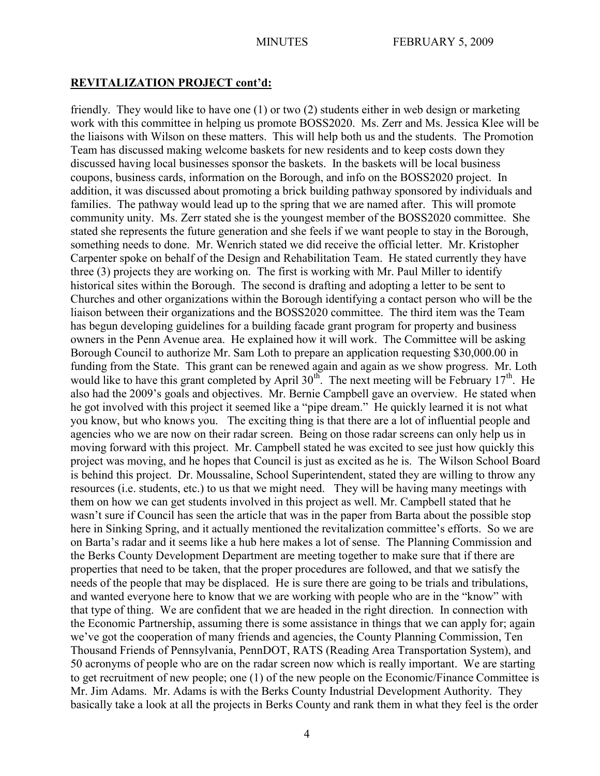friendly. They would like to have one (1) or two (2) students either in web design or marketing work with this committee in helping us promote BOSS2020. Ms. Zerr and Ms. Jessica Klee will be the liaisons with Wilson on these matters. This will help both us and the students. The Promotion Team has discussed making welcome baskets for new residents and to keep costs down they discussed having local businesses sponsor the baskets. In the baskets will be local business coupons, business cards, information on the Borough, and info on the BOSS2020 project. In addition, it was discussed about promoting a brick building pathway sponsored by individuals and families. The pathway would lead up to the spring that we are named after. This will promote community unity. Ms. Zerr stated she is the youngest member of the BOSS2020 committee. She stated she represents the future generation and she feels if we want people to stay in the Borough, something needs to done. Mr. Wenrich stated we did receive the official letter. Mr. Kristopher Carpenter spoke on behalf of the Design and Rehabilitation Team. He stated currently they have three (3) projects they are working on. The first is working with Mr. Paul Miller to identify historical sites within the Borough. The second is drafting and adopting a letter to be sent to Churches and other organizations within the Borough identifying a contact person who will be the liaison between their organizations and the BOSS2020 committee. The third item was the Team has begun developing guidelines for a building facade grant program for property and business owners in the Penn Avenue area. He explained how it will work. The Committee will be asking Borough Council to authorize Mr. Sam Loth to prepare an application requesting \$30,000.00 in funding from the State. This grant can be renewed again and again as we show progress. Mr. Loth would like to have this grant completed by April  $30<sup>th</sup>$ . The next meeting will be February 17<sup>th</sup>. He also had the 2009's goals and objectives. Mr. Bernie Campbell gave an overview. He stated when he got involved with this project it seemed like a "pipe dream." He quickly learned it is not what you know, but who knows you. The exciting thing is that there are a lot of influential people and agencies who we are now on their radar screen. Being on those radar screens can only help us in moving forward with this project. Mr. Campbell stated he was excited to see just how quickly this project was moving, and he hopes that Council is just as excited as he is. The Wilson School Board is behind this project. Dr. Moussaline, School Superintendent, stated they are willing to throw any resources (i.e. students, etc.) to us that we might need. They will be having many meetings with them on how we can get students involved in this project as well. Mr. Campbell stated that he wasn't sure if Council has seen the article that was in the paper from Barta about the possible stop here in Sinking Spring, and it actually mentioned the revitalization committee's efforts. So we are on Barta's radar and it seems like a hub here makes a lot of sense. The Planning Commission and the Berks County Development Department are meeting together to make sure that if there are properties that need to be taken, that the proper procedures are followed, and that we satisfy the needs of the people that may be displaced. He is sure there are going to be trials and tribulations, and wanted everyone here to know that we are working with people who are in the "know" with that type of thing. We are confident that we are headed in the right direction. In connection with the Economic Partnership, assuming there is some assistance in things that we can apply for; again we've got the cooperation of many friends and agencies, the County Planning Commission, Ten Thousand Friends of Pennsylvania, PennDOT, RATS (Reading Area Transportation System), and 50 acronyms of people who are on the radar screen now which is really important. We are starting to get recruitment of new people; one (1) of the new people on the Economic/Finance Committee is Mr. Jim Adams. Mr. Adams is with the Berks County Industrial Development Authority. They basically take a look at all the projects in Berks County and rank them in what they feel is the order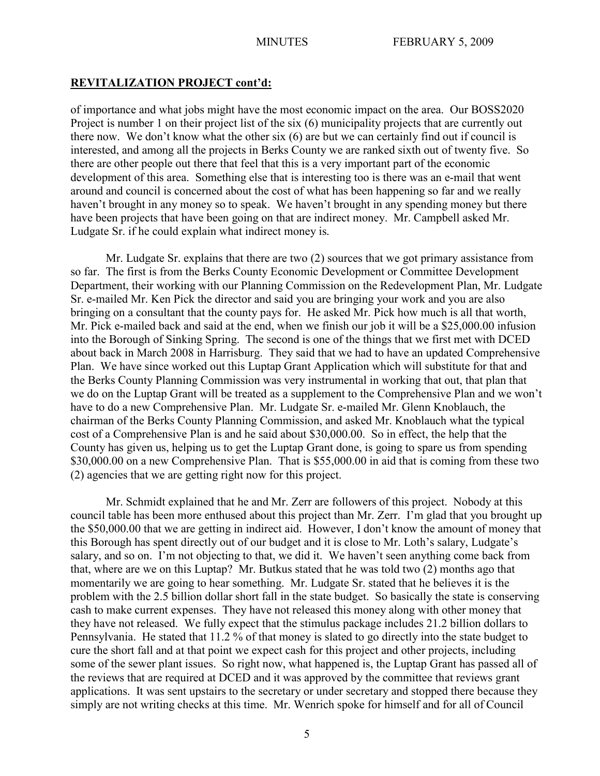of importance and what jobs might have the most economic impact on the area. Our BOSS2020 Project is number 1 on their project list of the six (6) municipality projects that are currently out there now. We don't know what the other six (6) are but we can certainly find out if council is interested, and among all the projects in Berks County we are ranked sixth out of twenty five. So there are other people out there that feel that this is a very important part of the economic development of this area. Something else that is interesting too is there was an e-mail that went around and council is concerned about the cost of what has been happening so far and we really haven't brought in any money so to speak. We haven't brought in any spending money but there have been projects that have been going on that are indirect money. Mr. Campbell asked Mr. Ludgate Sr. if he could explain what indirect money is.

Mr. Ludgate Sr. explains that there are two (2) sources that we got primary assistance from so far. The first is from the Berks County Economic Development or Committee Development Department, their working with our Planning Commission on the Redevelopment Plan, Mr. Ludgate Sr. e-mailed Mr. Ken Pick the director and said you are bringing your work and you are also bringing on a consultant that the county pays for. He asked Mr. Pick how much is all that worth, Mr. Pick e-mailed back and said at the end, when we finish our job it will be a \$25,000.00 infusion into the Borough of Sinking Spring. The second is one of the things that we first met with DCED about back in March 2008 in Harrisburg. They said that we had to have an updated Comprehensive Plan. We have since worked out this Luptap Grant Application which will substitute for that and the Berks County Planning Commission was very instrumental in working that out, that plan that we do on the Luptap Grant will be treated as a supplement to the Comprehensive Plan and we won't have to do a new Comprehensive Plan. Mr. Ludgate Sr. e-mailed Mr. Glenn Knoblauch, the chairman of the Berks County Planning Commission, and asked Mr. Knoblauch what the typical cost of a Comprehensive Plan is and he said about \$30,000.00. So in effect, the help that the County has given us, helping us to get the Luptap Grant done, is going to spare us from spending \$30,000.00 on a new Comprehensive Plan. That is \$55,000.00 in aid that is coming from these two (2) agencies that we are getting right now for this project.

Mr. Schmidt explained that he and Mr. Zerr are followers of this project. Nobody at this council table has been more enthused about this project than Mr. Zerr. I'm glad that you brought up the \$50,000.00 that we are getting in indirect aid. However, I don't know the amount of money that this Borough has spent directly out of our budget and it is close to Mr. Loth's salary, Ludgate's salary, and so on. I'm not objecting to that, we did it. We haven't seen anything come back from that, where are we on this Luptap? Mr. Butkus stated that he was told two (2) months ago that momentarily we are going to hear something. Mr. Ludgate Sr. stated that he believes it is the problem with the 2.5 billion dollar short fall in the state budget. So basically the state is conserving cash to make current expenses. They have not released this money along with other money that they have not released. We fully expect that the stimulus package includes 21.2 billion dollars to Pennsylvania. He stated that 11.2 % of that money is slated to go directly into the state budget to cure the short fall and at that point we expect cash for this project and other projects, including some of the sewer plant issues. So right now, what happened is, the Luptap Grant has passed all of the reviews that are required at DCED and it was approved by the committee that reviews grant applications. It was sent upstairs to the secretary or under secretary and stopped there because they simply are not writing checks at this time. Mr. Wenrich spoke for himself and for all of Council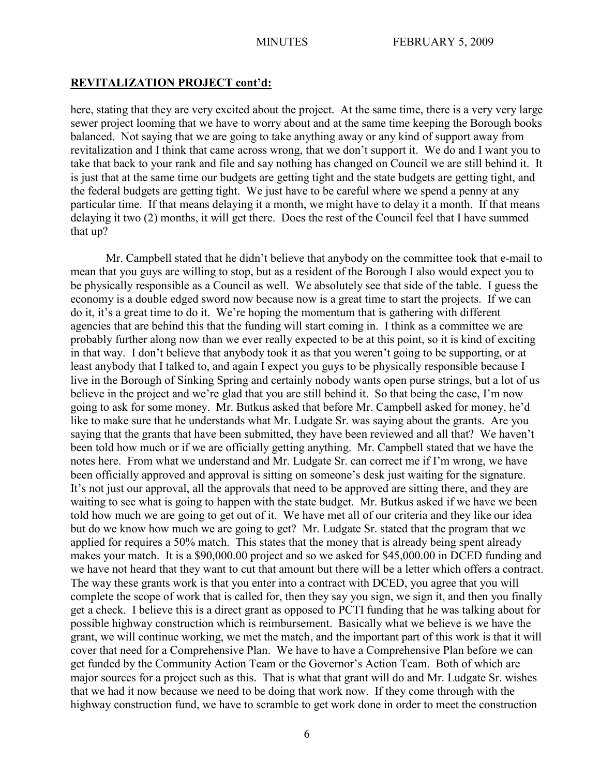here, stating that they are very excited about the project. At the same time, there is a very very large sewer project looming that we have to worry about and at the same time keeping the Borough books balanced. Not saying that we are going to take anything away or any kind of support away from revitalization and I think that came across wrong, that we don't support it. We do and I want you to take that back to your rank and file and say nothing has changed on Council we are still behind it. It is just that at the same time our budgets are getting tight and the state budgets are getting tight, and the federal budgets are getting tight. We just have to be careful where we spend a penny at any particular time. If that means delaying it a month, we might have to delay it a month. If that means delaying it two (2) months, it will get there. Does the rest of the Council feel that I have summed that up?

Mr. Campbell stated that he didn't believe that anybody on the committee took that e-mail to mean that you guys are willing to stop, but as a resident of the Borough I also would expect you to be physically responsible as a Council as well. We absolutely see that side of the table. I guess the economy is a double edged sword now because now is a great time to start the projects. If we can do it, it's a great time to do it. We're hoping the momentum that is gathering with different agencies that are behind this that the funding will start coming in. I think as a committee we are probably further along now than we ever really expected to be at this point, so it is kind of exciting in that way. I don't believe that anybody took it as that you weren't going to be supporting, or at least anybody that I talked to, and again I expect you guys to be physically responsible because I live in the Borough of Sinking Spring and certainly nobody wants open purse strings, but a lot of us believe in the project and we're glad that you are still behind it. So that being the case, I'm now going to ask for some money. Mr. Butkus asked that before Mr. Campbell asked for money, he'd like to make sure that he understands what Mr. Ludgate Sr. was saying about the grants. Are you saying that the grants that have been submitted, they have been reviewed and all that? We haven't been told how much or if we are officially getting anything. Mr. Campbell stated that we have the notes here. From what we understand and Mr. Ludgate Sr. can correct me if I'm wrong, we have been officially approved and approval is sitting on someone's desk just waiting for the signature. It's not just our approval, all the approvals that need to be approved are sitting there, and they are waiting to see what is going to happen with the state budget. Mr. Butkus asked if we have we been told how much we are going to get out of it. We have met all of our criteria and they like our idea but do we know how much we are going to get? Mr. Ludgate Sr. stated that the program that we applied for requires a 50% match. This states that the money that is already being spent already makes your match. It is a \$90,000.00 project and so we asked for \$45,000.00 in DCED funding and we have not heard that they want to cut that amount but there will be a letter which offers a contract. The way these grants work is that you enter into a contract with DCED, you agree that you will complete the scope of work that is called for, then they say you sign, we sign it, and then you finally get a check. I believe this is a direct grant as opposed to PCTI funding that he was talking about for possible highway construction which is reimbursement. Basically what we believe is we have the grant, we will continue working, we met the match, and the important part of this work is that it will cover that need for a Comprehensive Plan. We have to have a Comprehensive Plan before we can get funded by the Community Action Team or the Governor's Action Team. Both of which are major sources for a project such as this. That is what that grant will do and Mr. Ludgate Sr. wishes that we had it now because we need to be doing that work now. If they come through with the highway construction fund, we have to scramble to get work done in order to meet the construction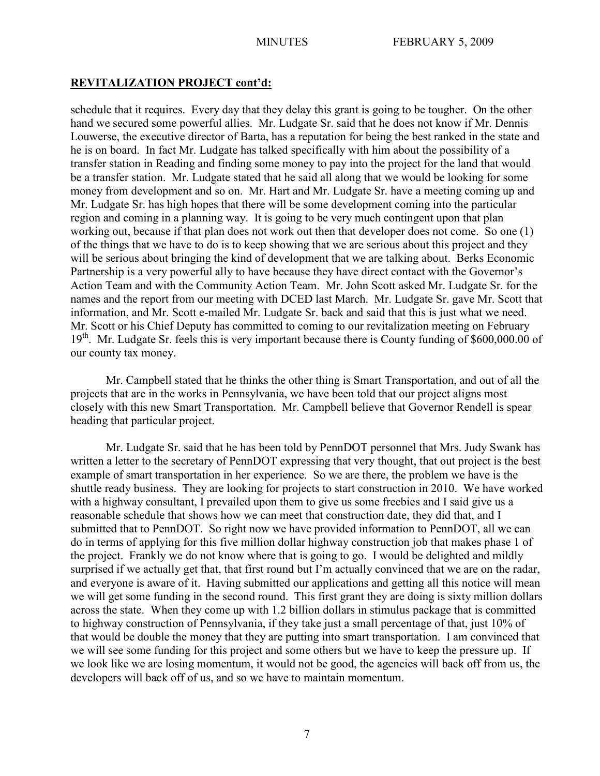schedule that it requires. Every day that they delay this grant is going to be tougher. On the other hand we secured some powerful allies. Mr. Ludgate Sr. said that he does not know if Mr. Dennis Louwerse, the executive director of Barta, has a reputation for being the best ranked in the state and he is on board. In fact Mr. Ludgate has talked specifically with him about the possibility of a transfer station in Reading and finding some money to pay into the project for the land that would be a transfer station. Mr. Ludgate stated that he said all along that we would be looking for some money from development and so on. Mr. Hart and Mr. Ludgate Sr. have a meeting coming up and Mr. Ludgate Sr. has high hopes that there will be some development coming into the particular region and coming in a planning way. It is going to be very much contingent upon that plan working out, because if that plan does not work out then that developer does not come. So one (1) of the things that we have to do is to keep showing that we are serious about this project and they will be serious about bringing the kind of development that we are talking about. Berks Economic Partnership is a very powerful ally to have because they have direct contact with the Governor's Action Team and with the Community Action Team. Mr. John Scott asked Mr. Ludgate Sr. for the names and the report from our meeting with DCED last March. Mr. Ludgate Sr. gave Mr. Scott that information, and Mr. Scott e-mailed Mr. Ludgate Sr. back and said that this is just what we need. Mr. Scott or his Chief Deputy has committed to coming to our revitalization meeting on February 19<sup>th</sup>. Mr. Ludgate Sr. feels this is very important because there is County funding of \$600,000.00 of our county tax money.

Mr. Campbell stated that he thinks the other thing is Smart Transportation, and out of all the projects that are in the works in Pennsylvania, we have been told that our project aligns most closely with this new Smart Transportation. Mr. Campbell believe that Governor Rendell is spear heading that particular project.

Mr. Ludgate Sr. said that he has been told by PennDOT personnel that Mrs. Judy Swank has written a letter to the secretary of PennDOT expressing that very thought, that out project is the best example of smart transportation in her experience. So we are there, the problem we have is the shuttle ready business. They are looking for projects to start construction in 2010. We have worked with a highway consultant, I prevailed upon them to give us some freebies and I said give us a reasonable schedule that shows how we can meet that construction date, they did that, and I submitted that to PennDOT. So right now we have provided information to PennDOT, all we can do in terms of applying for this five million dollar highway construction job that makes phase 1 of the project. Frankly we do not know where that is going to go. I would be delighted and mildly surprised if we actually get that, that first round but I'm actually convinced that we are on the radar, and everyone is aware of it. Having submitted our applications and getting all this notice will mean we will get some funding in the second round. This first grant they are doing is sixty million dollars across the state. When they come up with 1.2 billion dollars in stimulus package that is committed to highway construction of Pennsylvania, if they take just a small percentage of that, just 10% of that would be double the money that they are putting into smart transportation. I am convinced that we will see some funding for this project and some others but we have to keep the pressure up. If we look like we are losing momentum, it would not be good, the agencies will back off from us, the developers will back off of us, and so we have to maintain momentum.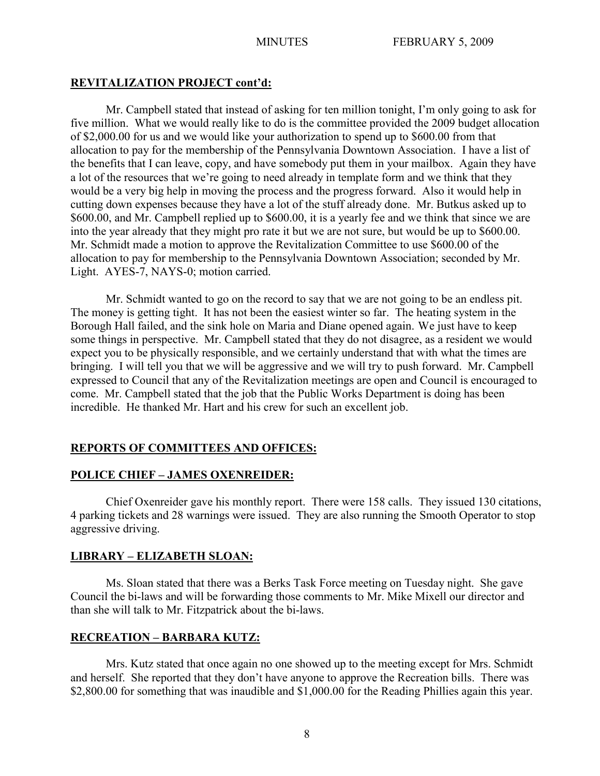Mr. Campbell stated that instead of asking for ten million tonight, I'm only going to ask for five million. What we would really like to do is the committee provided the 2009 budget allocation of \$2,000.00 for us and we would like your authorization to spend up to \$600.00 from that allocation to pay for the membership of the Pennsylvania Downtown Association. I have a list of the benefits that I can leave, copy, and have somebody put them in your mailbox. Again they have a lot of the resources that we're going to need already in template form and we think that they would be a very big help in moving the process and the progress forward. Also it would help in cutting down expenses because they have a lot of the stuff already done. Mr. Butkus asked up to \$600.00, and Mr. Campbell replied up to \$600.00, it is a yearly fee and we think that since we are into the year already that they might pro rate it but we are not sure, but would be up to \$600.00. Mr. Schmidt made a motion to approve the Revitalization Committee to use \$600.00 of the allocation to pay for membership to the Pennsylvania Downtown Association; seconded by Mr. Light. AYES-7, NAYS-0; motion carried.

Mr. Schmidt wanted to go on the record to say that we are not going to be an endless pit. The money is getting tight. It has not been the easiest winter so far. The heating system in the Borough Hall failed, and the sink hole on Maria and Diane opened again. We just have to keep some things in perspective. Mr. Campbell stated that they do not disagree, as a resident we would expect you to be physically responsible, and we certainly understand that with what the times are bringing. I will tell you that we will be aggressive and we will try to push forward. Mr. Campbell expressed to Council that any of the Revitalization meetings are open and Council is encouraged to come. Mr. Campbell stated that the job that the Public Works Department is doing has been incredible. He thanked Mr. Hart and his crew for such an excellent job.

# **REPORTS OF COMMITTEES AND OFFICES:**

# **POLICE CHIEF – JAMES OXENREIDER:**

Chief Oxenreider gave his monthly report. There were 158 calls. They issued 130 citations, 4 parking tickets and 28 warnings were issued. They are also running the Smooth Operator to stop aggressive driving.

# **LIBRARY – ELIZABETH SLOAN:**

Ms. Sloan stated that there was a Berks Task Force meeting on Tuesday night. She gave Council the bi-laws and will be forwarding those comments to Mr. Mike Mixell our director and than she will talk to Mr. Fitzpatrick about the bi-laws.

# **RECREATION – BARBARA KUTZ:**

Mrs. Kutz stated that once again no one showed up to the meeting except for Mrs. Schmidt and herself. She reported that they don't have anyone to approve the Recreation bills. There was \$2,800.00 for something that was inaudible and \$1,000.00 for the Reading Phillies again this year.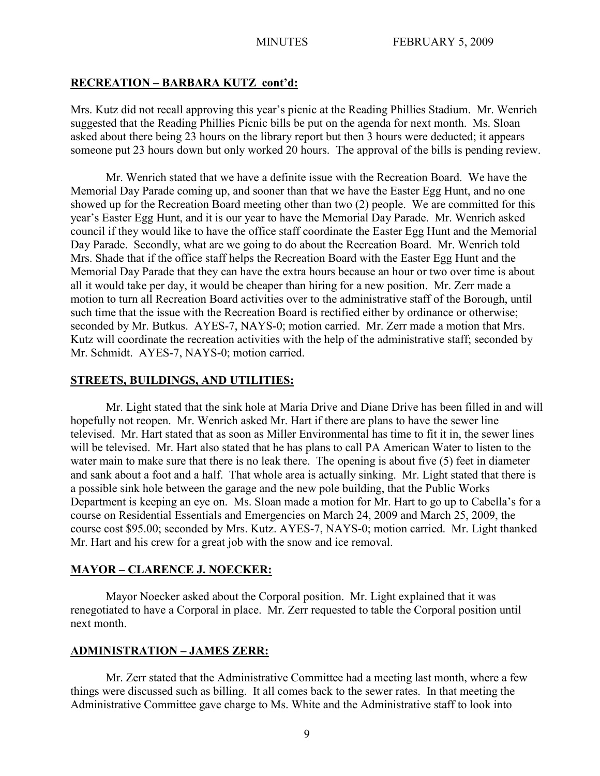## **RECREATION – BARBARA KUTZ cont'd:**

Mrs. Kutz did not recall approving this year's picnic at the Reading Phillies Stadium. Mr. Wenrich suggested that the Reading Phillies Picnic bills be put on the agenda for next month. Ms. Sloan asked about there being 23 hours on the library report but then 3 hours were deducted; it appears someone put 23 hours down but only worked 20 hours. The approval of the bills is pending review.

Mr. Wenrich stated that we have a definite issue with the Recreation Board. We have the Memorial Day Parade coming up, and sooner than that we have the Easter Egg Hunt, and no one showed up for the Recreation Board meeting other than two (2) people. We are committed for this year's Easter Egg Hunt, and it is our year to have the Memorial Day Parade. Mr. Wenrich asked council if they would like to have the office staff coordinate the Easter Egg Hunt and the Memorial Day Parade. Secondly, what are we going to do about the Recreation Board. Mr. Wenrich told Mrs. Shade that if the office staff helps the Recreation Board with the Easter Egg Hunt and the Memorial Day Parade that they can have the extra hours because an hour or two over time is about all it would take per day, it would be cheaper than hiring for a new position. Mr. Zerr made a motion to turn all Recreation Board activities over to the administrative staff of the Borough, until such time that the issue with the Recreation Board is rectified either by ordinance or otherwise; seconded by Mr. Butkus. AYES-7, NAYS-0; motion carried. Mr. Zerr made a motion that Mrs. Kutz will coordinate the recreation activities with the help of the administrative staff; seconded by Mr. Schmidt. AYES-7, NAYS-0; motion carried.

#### **STREETS, BUILDINGS, AND UTILITIES:**

Mr. Light stated that the sink hole at Maria Drive and Diane Drive has been filled in and will hopefully not reopen. Mr. Wenrich asked Mr. Hart if there are plans to have the sewer line televised. Mr. Hart stated that as soon as Miller Environmental has time to fit it in, the sewer lines will be televised. Mr. Hart also stated that he has plans to call PA American Water to listen to the water main to make sure that there is no leak there. The opening is about five (5) feet in diameter and sank about a foot and a half. That whole area is actually sinking. Mr. Light stated that there is a possible sink hole between the garage and the new pole building, that the Public Works Department is keeping an eye on. Ms. Sloan made a motion for Mr. Hart to go up to Cabella's for a course on Residential Essentials and Emergencies on March 24, 2009 and March 25, 2009, the course cost \$95.00; seconded by Mrs. Kutz. AYES-7, NAYS-0; motion carried. Mr. Light thanked Mr. Hart and his crew for a great job with the snow and ice removal.

#### **MAYOR – CLARENCE J. NOECKER:**

Mayor Noecker asked about the Corporal position. Mr. Light explained that it was renegotiated to have a Corporal in place. Mr. Zerr requested to table the Corporal position until next month.

#### **ADMINISTRATION – JAMES ZERR:**

Mr. Zerr stated that the Administrative Committee had a meeting last month, where a few things were discussed such as billing. It all comes back to the sewer rates. In that meeting the Administrative Committee gave charge to Ms. White and the Administrative staff to look into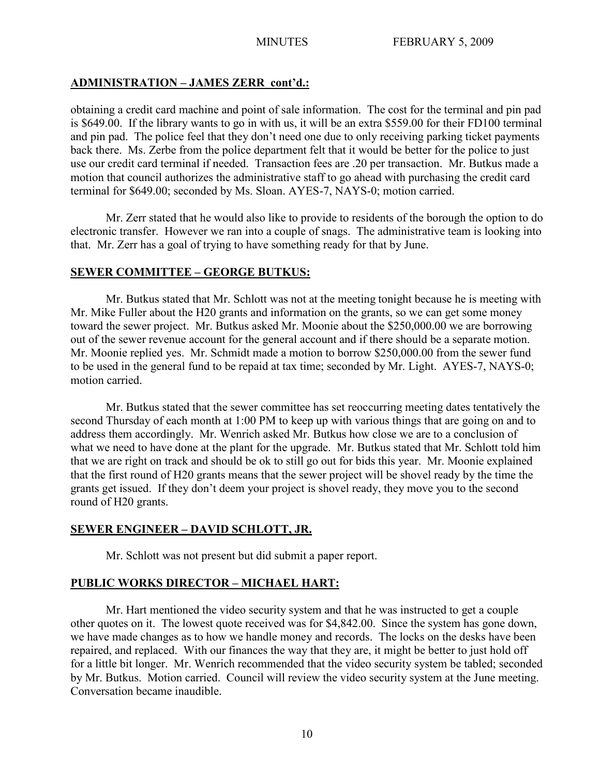# **ADMINISTRATION – JAMES ZERR cont'd.:**

obtaining a credit card machine and point of sale information. The cost for the terminal and pin pad is \$649.00. If the library wants to go in with us, it will be an extra \$559.00 for their FD100 terminal and pin pad. The police feel that they don't need one due to only receiving parking ticket payments back there. Ms. Zerbe from the police department felt that it would be better for the police to just use our credit card terminal if needed. Transaction fees are .20 per transaction. Mr. Butkus made a motion that council authorizes the administrative staff to go ahead with purchasing the credit card terminal for \$649.00; seconded by Ms. Sloan. AYES-7, NAYS-0; motion carried.

Mr. Zerr stated that he would also like to provide to residents of the borough the option to do electronic transfer. However we ran into a couple of snags. The administrative team is looking into that. Mr. Zerr has a goal of trying to have something ready for that by June.

## **SEWER COMMITTEE – GEORGE BUTKUS:**

Mr. Butkus stated that Mr. Schlott was not at the meeting tonight because he is meeting with Mr. Mike Fuller about the H20 grants and information on the grants, so we can get some money toward the sewer project. Mr. Butkus asked Mr. Moonie about the \$250,000.00 we are borrowing out of the sewer revenue account for the general account and if there should be a separate motion. Mr. Moonie replied yes. Mr. Schmidt made a motion to borrow \$250,000.00 from the sewer fund to be used in the general fund to be repaid at tax time; seconded by Mr. Light. AYES-7, NAYS-0; motion carried.

Mr. Butkus stated that the sewer committee has set reoccurring meeting dates tentatively the second Thursday of each month at 1:00 PM to keep up with various things that are going on and to address them accordingly. Mr. Wenrich asked Mr. Butkus how close we are to a conclusion of what we need to have done at the plant for the upgrade. Mr. Butkus stated that Mr. Schlott told him that we are right on track and should be ok to still go out for bids this year. Mr. Moonie explained that the first round of H20 grants means that the sewer project will be shovel ready by the time the grants get issued. If they don't deem your project is shovel ready, they move you to the second round of H20 grants.

# **SEWER ENGINEER – DAVID SCHLOTT, JR.**

Mr. Schlott was not present but did submit a paper report.

# **PUBLIC WORKS DIRECTOR – MICHAEL HART:**

Mr. Hart mentioned the video security system and that he was instructed to get a couple other quotes on it. The lowest quote received was for \$4,842.00. Since the system has gone down, we have made changes as to how we handle money and records. The locks on the desks have been repaired, and replaced. With our finances the way that they are, it might be better to just hold off for a little bit longer. Mr. Wenrich recommended that the video security system be tabled; seconded by Mr. Butkus. Motion carried. Council will review the video security system at the June meeting. Conversation became inaudible.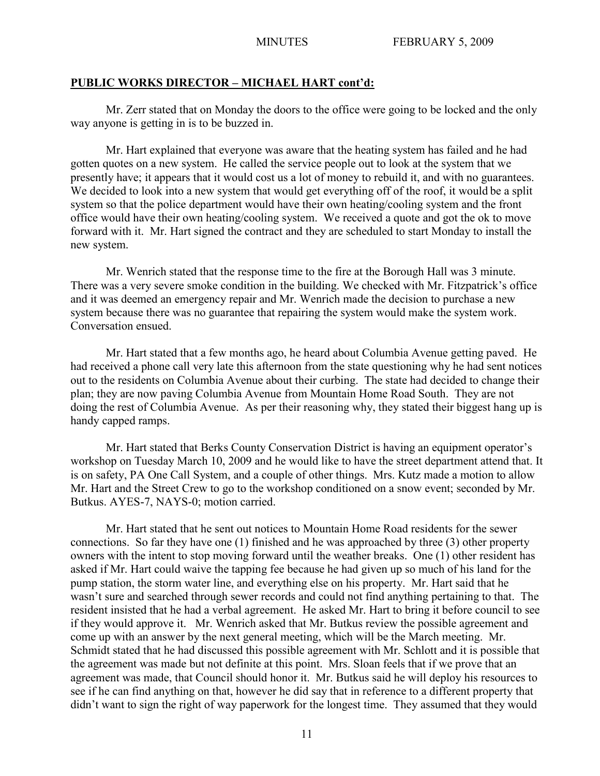### **PUBLIC WORKS DIRECTOR – MICHAEL HART cont'd:**

Mr. Zerr stated that on Monday the doors to the office were going to be locked and the only way anyone is getting in is to be buzzed in.

Mr. Hart explained that everyone was aware that the heating system has failed and he had gotten quotes on a new system. He called the service people out to look at the system that we presently have; it appears that it would cost us a lot of money to rebuild it, and with no guarantees. We decided to look into a new system that would get everything off of the roof, it would be a split system so that the police department would have their own heating/cooling system and the front office would have their own heating/cooling system. We received a quote and got the ok to move forward with it. Mr. Hart signed the contract and they are scheduled to start Monday to install the new system.

Mr. Wenrich stated that the response time to the fire at the Borough Hall was 3 minute. There was a very severe smoke condition in the building. We checked with Mr. Fitzpatrick's office and it was deemed an emergency repair and Mr. Wenrich made the decision to purchase a new system because there was no guarantee that repairing the system would make the system work. Conversation ensued.

Mr. Hart stated that a few months ago, he heard about Columbia Avenue getting paved. He had received a phone call very late this afternoon from the state questioning why he had sent notices out to the residents on Columbia Avenue about their curbing. The state had decided to change their plan; they are now paving Columbia Avenue from Mountain Home Road South. They are not doing the rest of Columbia Avenue. As per their reasoning why, they stated their biggest hang up is handy capped ramps.

Mr. Hart stated that Berks County Conservation District is having an equipment operator's workshop on Tuesday March 10, 2009 and he would like to have the street department attend that. It is on safety, PA One Call System, and a couple of other things. Mrs. Kutz made a motion to allow Mr. Hart and the Street Crew to go to the workshop conditioned on a snow event; seconded by Mr. Butkus. AYES-7, NAYS-0; motion carried.

Mr. Hart stated that he sent out notices to Mountain Home Road residents for the sewer connections. So far they have one (1) finished and he was approached by three (3) other property owners with the intent to stop moving forward until the weather breaks. One (1) other resident has asked if Mr. Hart could waive the tapping fee because he had given up so much of his land for the pump station, the storm water line, and everything else on his property. Mr. Hart said that he wasn't sure and searched through sewer records and could not find anything pertaining to that. The resident insisted that he had a verbal agreement. He asked Mr. Hart to bring it before council to see if they would approve it. Mr. Wenrich asked that Mr. Butkus review the possible agreement and come up with an answer by the next general meeting, which will be the March meeting. Mr. Schmidt stated that he had discussed this possible agreement with Mr. Schlott and it is possible that the agreement was made but not definite at this point. Mrs. Sloan feels that if we prove that an agreement was made, that Council should honor it. Mr. Butkus said he will deploy his resources to see if he can find anything on that, however he did say that in reference to a different property that didn't want to sign the right of way paperwork for the longest time. They assumed that they would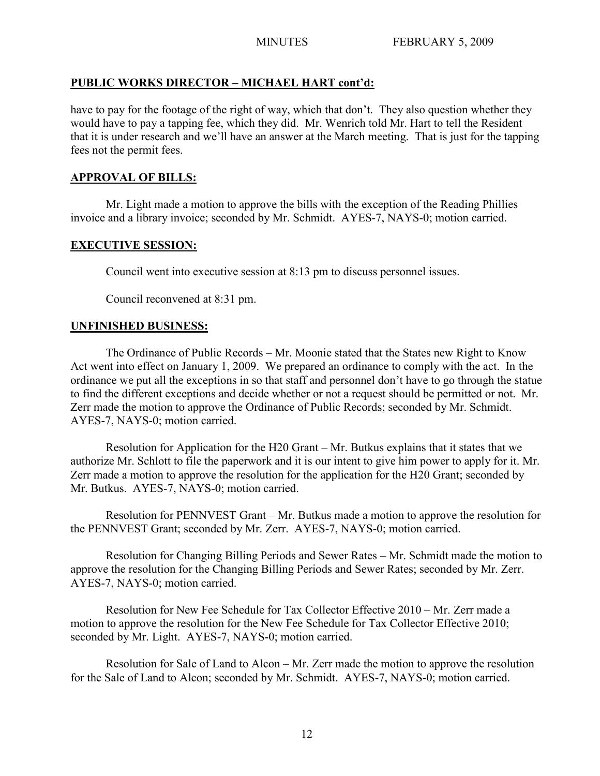# **PUBLIC WORKS DIRECTOR – MICHAEL HART cont'd:**

have to pay for the footage of the right of way, which that don't. They also question whether they would have to pay a tapping fee, which they did. Mr. Wenrich told Mr. Hart to tell the Resident that it is under research and we'll have an answer at the March meeting. That is just for the tapping fees not the permit fees.

# **APPROVAL OF BILLS:**

Mr. Light made a motion to approve the bills with the exception of the Reading Phillies invoice and a library invoice; seconded by Mr. Schmidt. AYES-7, NAYS-0; motion carried.

# **EXECUTIVE SESSION:**

Council went into executive session at 8:13 pm to discuss personnel issues.

Council reconvened at 8:31 pm.

# **UNFINISHED BUSINESS:**

The Ordinance of Public Records – Mr. Moonie stated that the States new Right to Know Act went into effect on January 1, 2009. We prepared an ordinance to comply with the act. In the ordinance we put all the exceptions in so that staff and personnel don't have to go through the statue to find the different exceptions and decide whether or not a request should be permitted or not. Mr. Zerr made the motion to approve the Ordinance of Public Records; seconded by Mr. Schmidt. AYES-7, NAYS-0; motion carried.

Resolution for Application for the H20 Grant – Mr. Butkus explains that it states that we authorize Mr. Schlott to file the paperwork and it is our intent to give him power to apply for it. Mr. Zerr made a motion to approve the resolution for the application for the H20 Grant; seconded by Mr. Butkus. AYES-7, NAYS-0; motion carried.

Resolution for PENNVEST Grant – Mr. Butkus made a motion to approve the resolution for the PENNVEST Grant; seconded by Mr. Zerr. AYES-7, NAYS-0; motion carried.

Resolution for Changing Billing Periods and Sewer Rates – Mr. Schmidt made the motion to approve the resolution for the Changing Billing Periods and Sewer Rates; seconded by Mr. Zerr. AYES-7, NAYS-0; motion carried.

Resolution for New Fee Schedule for Tax Collector Effective 2010 – Mr. Zerr made a motion to approve the resolution for the New Fee Schedule for Tax Collector Effective 2010; seconded by Mr. Light. AYES-7, NAYS-0; motion carried.

Resolution for Sale of Land to Alcon – Mr. Zerr made the motion to approve the resolution for the Sale of Land to Alcon; seconded by Mr. Schmidt. AYES-7, NAYS-0; motion carried.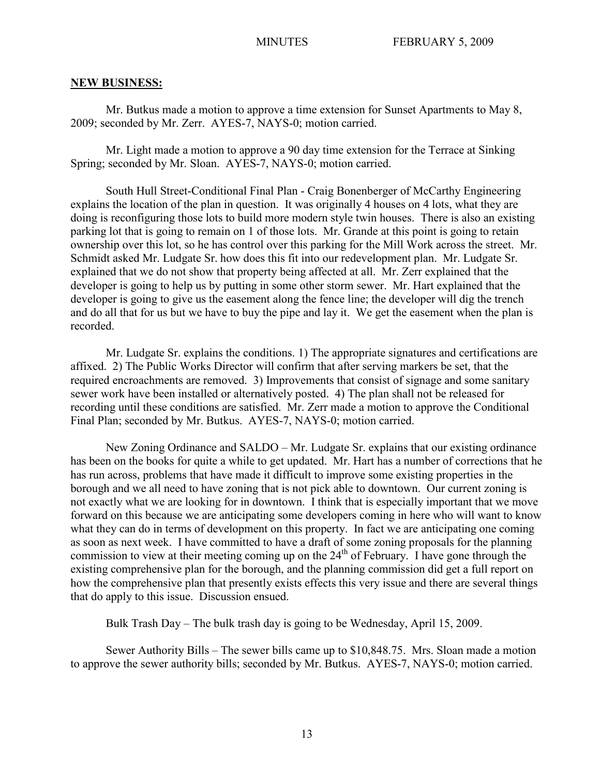#### **NEW BUSINESS:**

Mr. Butkus made a motion to approve a time extension for Sunset Apartments to May 8, 2009; seconded by Mr. Zerr. AYES-7, NAYS-0; motion carried.

Mr. Light made a motion to approve a 90 day time extension for the Terrace at Sinking Spring; seconded by Mr. Sloan. AYES-7, NAYS-0; motion carried.

South Hull Street-Conditional Final Plan - Craig Bonenberger of McCarthy Engineering explains the location of the plan in question. It was originally 4 houses on 4 lots, what they are doing is reconfiguring those lots to build more modern style twin houses. There is also an existing parking lot that is going to remain on 1 of those lots. Mr. Grande at this point is going to retain ownership over this lot, so he has control over this parking for the Mill Work across the street. Mr. Schmidt asked Mr. Ludgate Sr. how does this fit into our redevelopment plan. Mr. Ludgate Sr. explained that we do not show that property being affected at all. Mr. Zerr explained that the developer is going to help us by putting in some other storm sewer. Mr. Hart explained that the developer is going to give us the easement along the fence line; the developer will dig the trench and do all that for us but we have to buy the pipe and lay it. We get the easement when the plan is recorded.

Mr. Ludgate Sr. explains the conditions. 1) The appropriate signatures and certifications are affixed. 2) The Public Works Director will confirm that after serving markers be set, that the required encroachments are removed. 3) Improvements that consist of signage and some sanitary sewer work have been installed or alternatively posted. 4) The plan shall not be released for recording until these conditions are satisfied. Mr. Zerr made a motion to approve the Conditional Final Plan; seconded by Mr. Butkus. AYES-7, NAYS-0; motion carried.

New Zoning Ordinance and SALDO – Mr. Ludgate Sr. explains that our existing ordinance has been on the books for quite a while to get updated. Mr. Hart has a number of corrections that he has run across, problems that have made it difficult to improve some existing properties in the borough and we all need to have zoning that is not pick able to downtown. Our current zoning is not exactly what we are looking for in downtown. I think that is especially important that we move forward on this because we are anticipating some developers coming in here who will want to know what they can do in terms of development on this property. In fact we are anticipating one coming as soon as next week. I have committed to have a draft of some zoning proposals for the planning commission to view at their meeting coming up on the  $24<sup>th</sup>$  of February. I have gone through the existing comprehensive plan for the borough, and the planning commission did get a full report on how the comprehensive plan that presently exists effects this very issue and there are several things that do apply to this issue. Discussion ensued.

Bulk Trash Day – The bulk trash day is going to be Wednesday, April 15, 2009.

Sewer Authority Bills – The sewer bills came up to \$10,848.75. Mrs. Sloan made a motion to approve the sewer authority bills; seconded by Mr. Butkus. AYES-7, NAYS-0; motion carried.